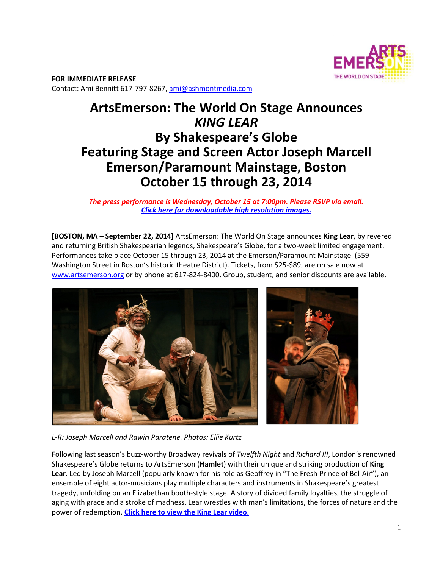

**FOR IMMEDIATE RELEASE**  Contact: Ami Bennitt 617‐797‐8267, ami@ashmontmedia.com

# **ArtsEmerson: The World On Stage Announces**  *KING LEAR* **By Shakespeare's Globe Featuring Stage and Screen Actor Joseph Marcell Emerson/Paramount Mainstage, Boston October 15 through 23, 2014**

## *The press performance is Wednesday, October 15 at 7:00pm. Please RSVP via email. Click here for downloadable high resolution images.*

**[BOSTON, MA – September 22, 2014]** ArtsEmerson: The World On Stage announces **King Lear**, by revered and returning British Shakespearian legends, Shakespeare's Globe, for a two-week limited engagement. Performances take place October 15 through 23, 2014 at the Emerson/Paramount Mainstage (559 Washington Street in Boston's historic theatre District). Tickets, from \$25‐\$89, are on sale now at www.artsemerson.org or by phone at 617‐824‐8400. Group, student, and senior discounts are available.



*L-R: Joseph Marcell and Rawiri Paratene. Photos: Ellie Kurtz*

Following last season's buzz‐worthy Broadway revivals of *Twelfth Night* and *Richard III*, London's renowned Shakespeare's Globe returns to ArtsEmerson (**Hamlet**) with their unique and striking production of **King**  Lear. Led by Joseph Marcell (popularly known for his role as Geoffrey in "The Fresh Prince of Bel-Air"), an ensemble of eight actor-musicians play multiple characters and instruments in Shakespeare's greatest tragedy, unfolding on an Elizabethan booth‐style stage. A story of divided family loyalties, the struggle of aging with grace and a stroke of madness, Lear wrestles with man's limitations, the forces of nature and the power of redemption. **Click here to view the King Lear video**.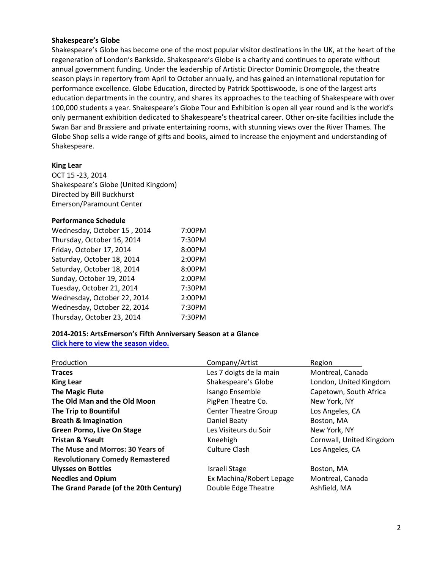#### **Shakespeare's Globe**

Shakespeare's Globe has become one of the most popular visitor destinations in the UK, at the heart of the regeneration of London's Bankside. Shakespeare's Globe is a charity and continues to operate without annual government funding. Under the leadership of Artistic Director Dominic Dromgoole, the theatre season plays in repertory from April to October annually, and has gained an international reputation for performance excellence. Globe Education, directed by Patrick Spottiswoode, is one of the largest arts education departments in the country, and shares its approaches to the teaching of Shakespeare with over 100,000 students a year. Shakespeare's Globe Tour and Exhibition is open all year round and is the world's only permanent exhibition dedicated to Shakespeare's theatrical career. Other on‐site facilities include the Swan Bar and Brassiere and private entertaining rooms, with stunning views over the River Thames. The Globe Shop sells a wide range of gifts and books, aimed to increase the enjoyment and understanding of Shakespeare.

#### **King Lear**

OCT 15 ‐23, 2014 Shakespeare's Globe (United Kingdom) Directed by Bill Buckhurst Emerson/Paramount Center

### **Performance Schedule**

| Wednesday, October 15, 2014 | 7:00PM |
|-----------------------------|--------|
| Thursday, October 16, 2014  | 7:30PM |
| Friday, October 17, 2014    | 8:00PM |
| Saturday, October 18, 2014  | 2:00PM |
| Saturday, October 18, 2014  | 8:00PM |
| Sunday, October 19, 2014    | 2:00PM |
| Tuesday, October 21, 2014   | 7:30PM |
| Wednesday, October 22, 2014 | 2:00PM |
| Wednesday, October 22, 2014 | 7:30PM |
| Thursday, October 23, 2014  | 7:30PM |

### **2014-2015: ArtsEmerson's Fifth Anniversary Season at a Glance Click here to view the season video.**

| Production                             | Company/Artist              | Region                   |
|----------------------------------------|-----------------------------|--------------------------|
| <b>Traces</b>                          | Les 7 doigts de la main     | Montreal, Canada         |
| <b>King Lear</b>                       | Shakespeare's Globe         | London, United Kingdom   |
| <b>The Magic Flute</b>                 | Isango Ensemble             | Capetown, South Africa   |
| The Old Man and the Old Moon           | PigPen Theatre Co.          | New York, NY             |
| The Trip to Bountiful                  | <b>Center Theatre Group</b> | Los Angeles, CA          |
| <b>Breath &amp; Imagination</b>        | Daniel Beaty                | Boston, MA               |
| <b>Green Porno, Live On Stage</b>      | Les Visiteurs du Soir       | New York, NY             |
| <b>Tristan &amp; Yseult</b>            | Kneehigh                    | Cornwall, United Kingdom |
| The Muse and Morros: 30 Years of       | Culture Clash               | Los Angeles, CA          |
| <b>Revolutionary Comedy Remastered</b> |                             |                          |
| <b>Ulysses on Bottles</b>              | Israeli Stage               | Boston, MA               |
| <b>Needles and Opium</b>               | Ex Machina/Robert Lepage    | Montreal, Canada         |
| The Grand Parade (of the 20th Century) | Double Edge Theatre         | Ashfield, MA             |